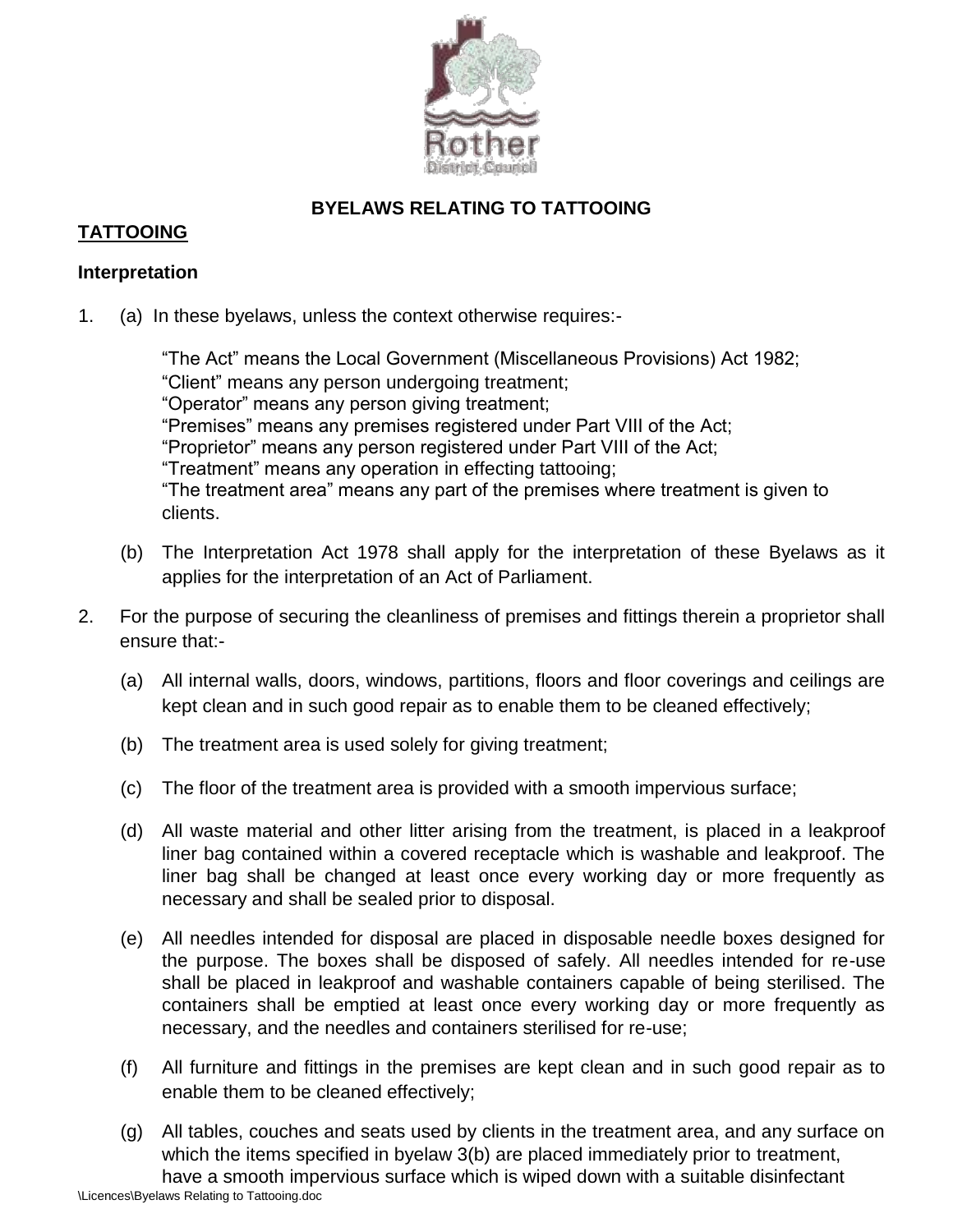

# **BYELAWS RELATING TO TATTOOING**

# **TATTOOING**

### **Interpretation**

1. (a) In these byelaws, unless the context otherwise requires:-

"The Act" means the Local Government (Miscellaneous Provisions) Act 1982; "Client" means any person undergoing treatment; "Operator" means any person giving treatment; "Premises" means any premises registered under Part VIII of the Act; "Proprietor" means any person registered under Part VIII of the Act; "Treatment" means any operation in effecting tattooing; "The treatment area" means any part of the premises where treatment is given to clients.

- (b) The Interpretation Act 1978 shall apply for the interpretation of these Byelaws as it applies for the interpretation of an Act of Parliament.
- 2. For the purpose of securing the cleanliness of premises and fittings therein a proprietor shall ensure that:-
	- (a) All internal walls, doors, windows, partitions, floors and floor coverings and ceilings are kept clean and in such good repair as to enable them to be cleaned effectively;
	- (b) The treatment area is used solely for giving treatment;
	- (c) The floor of the treatment area is provided with a smooth impervious surface;
	- (d) All waste material and other litter arising from the treatment, is placed in a leakproof liner bag contained within a covered receptacle which is washable and leakproof. The liner bag shall be changed at least once every working day or more frequently as necessary and shall be sealed prior to disposal.
	- (e) All needles intended for disposal are placed in disposable needle boxes designed for the purpose. The boxes shall be disposed of safely. All needles intended for re-use shall be placed in leakproof and washable containers capable of being sterilised. The containers shall be emptied at least once every working day or more frequently as necessary, and the needles and containers sterilised for re-use;
	- (f) All furniture and fittings in the premises are kept clean and in such good repair as to enable them to be cleaned effectively;
	- (g) All tables, couches and seats used by clients in the treatment area, and any surface on which the items specified in byelaw 3(b) are placed immediately prior to treatment, have a smooth impervious surface which is wiped down with a suitable disinfectant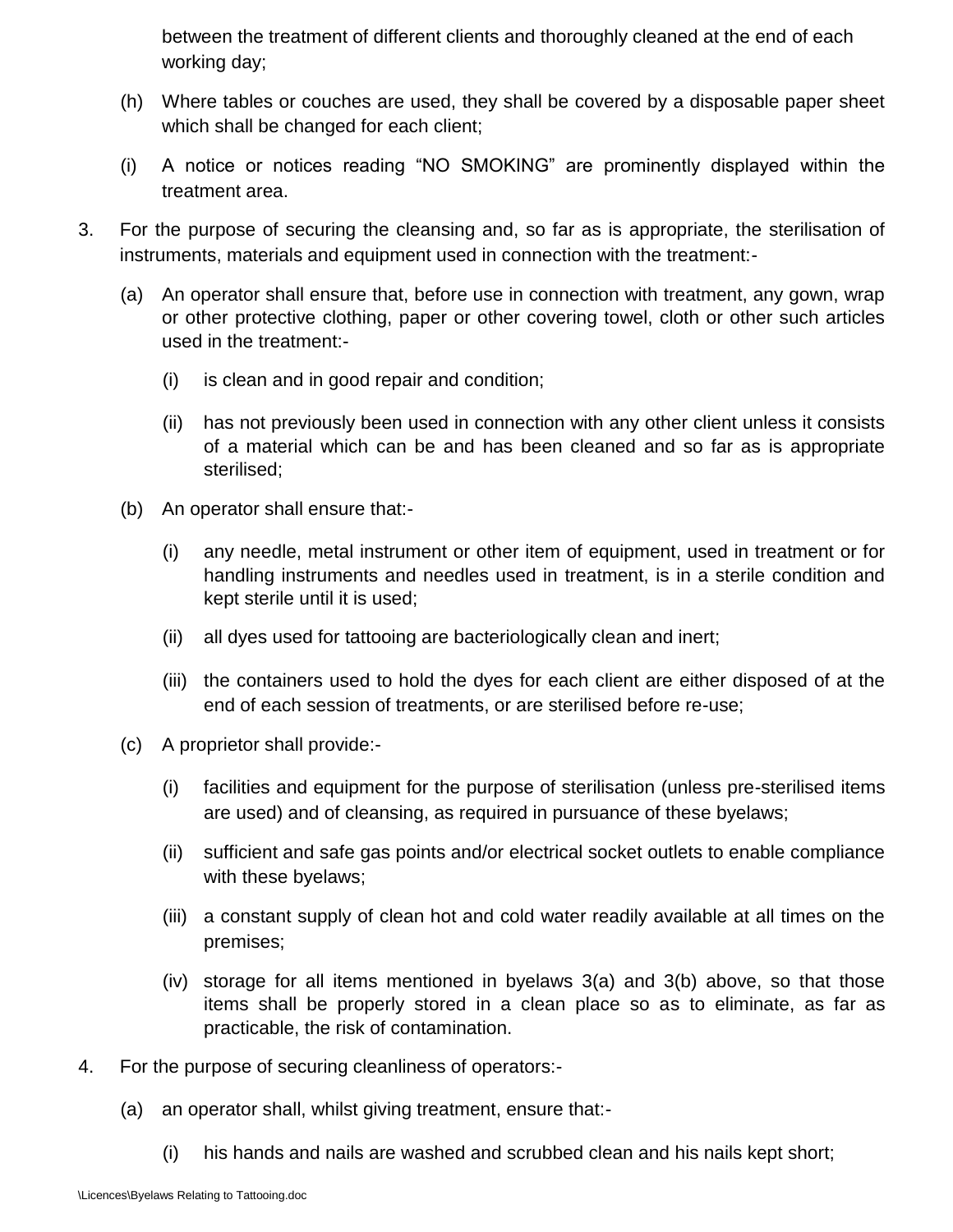between the treatment of different clients and thoroughly cleaned at the end of each working day;

- (h) Where tables or couches are used, they shall be covered by a disposable paper sheet which shall be changed for each client;
- (i) A notice or notices reading "NO SMOKING" are prominently displayed within the treatment area.
- 3. For the purpose of securing the cleansing and, so far as is appropriate, the sterilisation of instruments, materials and equipment used in connection with the treatment:-
	- (a) An operator shall ensure that, before use in connection with treatment, any gown, wrap or other protective clothing, paper or other covering towel, cloth or other such articles used in the treatment:-
		- (i) is clean and in good repair and condition;
		- (ii) has not previously been used in connection with any other client unless it consists of a material which can be and has been cleaned and so far as is appropriate sterilised;
	- (b) An operator shall ensure that:-
		- (i) any needle, metal instrument or other item of equipment, used in treatment or for handling instruments and needles used in treatment, is in a sterile condition and kept sterile until it is used;
		- (ii) all dyes used for tattooing are bacteriologically clean and inert;
		- (iii) the containers used to hold the dyes for each client are either disposed of at the end of each session of treatments, or are sterilised before re-use;
	- (c) A proprietor shall provide:-
		- (i) facilities and equipment for the purpose of sterilisation (unless pre-sterilised items are used) and of cleansing, as required in pursuance of these byelaws;
		- (ii) sufficient and safe gas points and/or electrical socket outlets to enable compliance with these byelaws;
		- (iii) a constant supply of clean hot and cold water readily available at all times on the premises;
		- (iv) storage for all items mentioned in byelaws 3(a) and 3(b) above, so that those items shall be properly stored in a clean place so as to eliminate, as far as practicable, the risk of contamination.
- 4. For the purpose of securing cleanliness of operators:-
	- (a) an operator shall, whilst giving treatment, ensure that:-
		- (i) his hands and nails are washed and scrubbed clean and his nails kept short;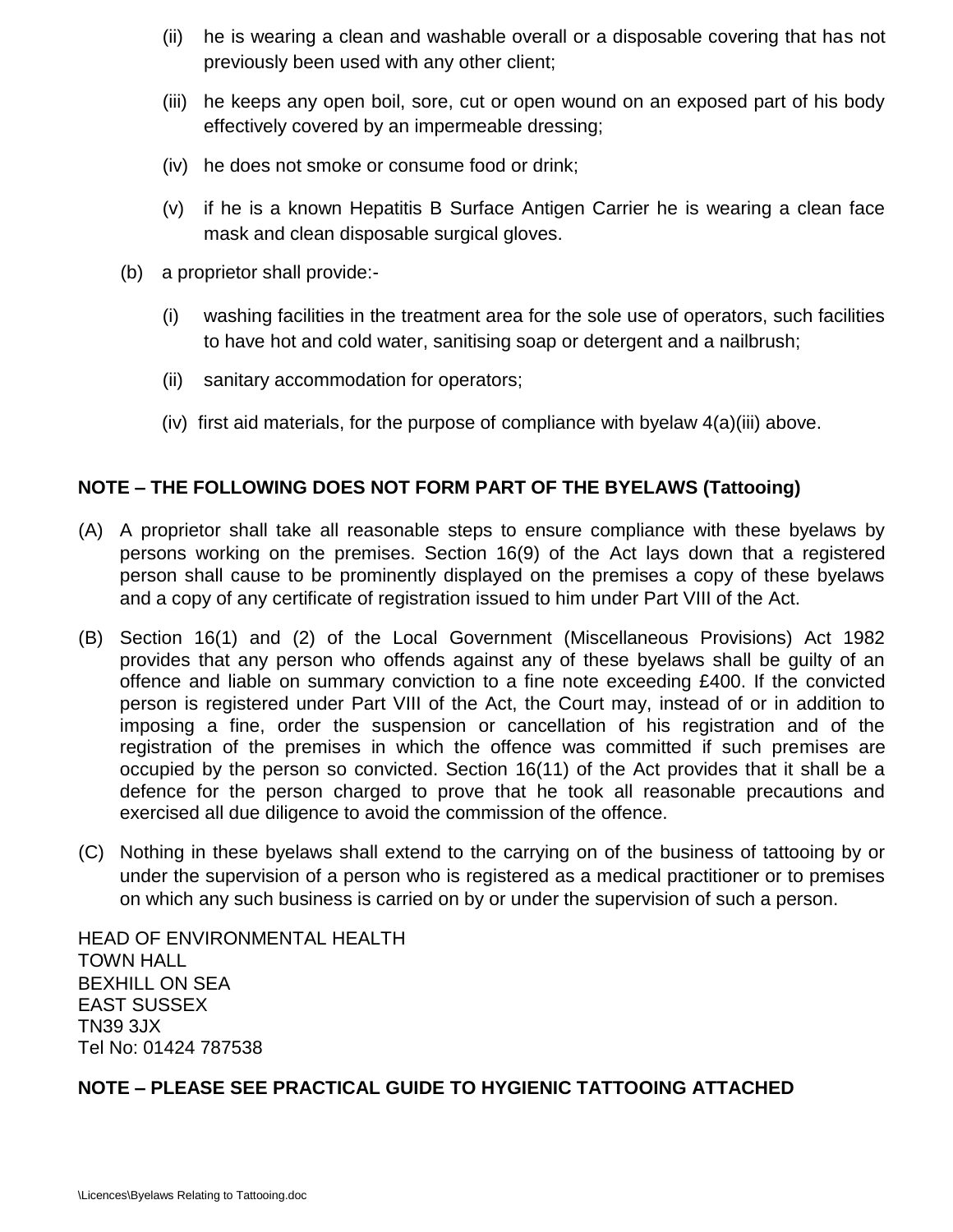- (ii) he is wearing a clean and washable overall or a disposable covering that has not previously been used with any other client;
- (iii) he keeps any open boil, sore, cut or open wound on an exposed part of his body effectively covered by an impermeable dressing;
- (iv) he does not smoke or consume food or drink;
- (v) if he is a known Hepatitis B Surface Antigen Carrier he is wearing a clean face mask and clean disposable surgical gloves.
- (b) a proprietor shall provide:-
	- (i) washing facilities in the treatment area for the sole use of operators, such facilities to have hot and cold water, sanitising soap or detergent and a nailbrush;
	- (ii) sanitary accommodation for operators;
	- (iv) first aid materials, for the purpose of compliance with byelaw 4(a)(iii) above.

#### **NOTE – THE FOLLOWING DOES NOT FORM PART OF THE BYELAWS (Tattooing)**

- (A) A proprietor shall take all reasonable steps to ensure compliance with these byelaws by persons working on the premises. Section 16(9) of the Act lays down that a registered person shall cause to be prominently displayed on the premises a copy of these byelaws and a copy of any certificate of registration issued to him under Part VIII of the Act.
- (B) Section 16(1) and (2) of the Local Government (Miscellaneous Provisions) Act 1982 provides that any person who offends against any of these byelaws shall be guilty of an offence and liable on summary conviction to a fine note exceeding £400. If the convicted person is registered under Part VIII of the Act, the Court may, instead of or in addition to imposing a fine, order the suspension or cancellation of his registration and of the registration of the premises in which the offence was committed if such premises are occupied by the person so convicted. Section 16(11) of the Act provides that it shall be a defence for the person charged to prove that he took all reasonable precautions and exercised all due diligence to avoid the commission of the offence.
- (C) Nothing in these byelaws shall extend to the carrying on of the business of tattooing by or under the supervision of a person who is registered as a medical practitioner or to premises on which any such business is carried on by or under the supervision of such a person.

HEAD OF ENVIRONMENTAL HEALTH TOWN HALL BEXHILL ON SEA EAST SUSSEX TN39 3JX Tel No: 01424 787538

# **NOTE – PLEASE SEE PRACTICAL GUIDE TO HYGIENIC TATTOOING ATTACHED**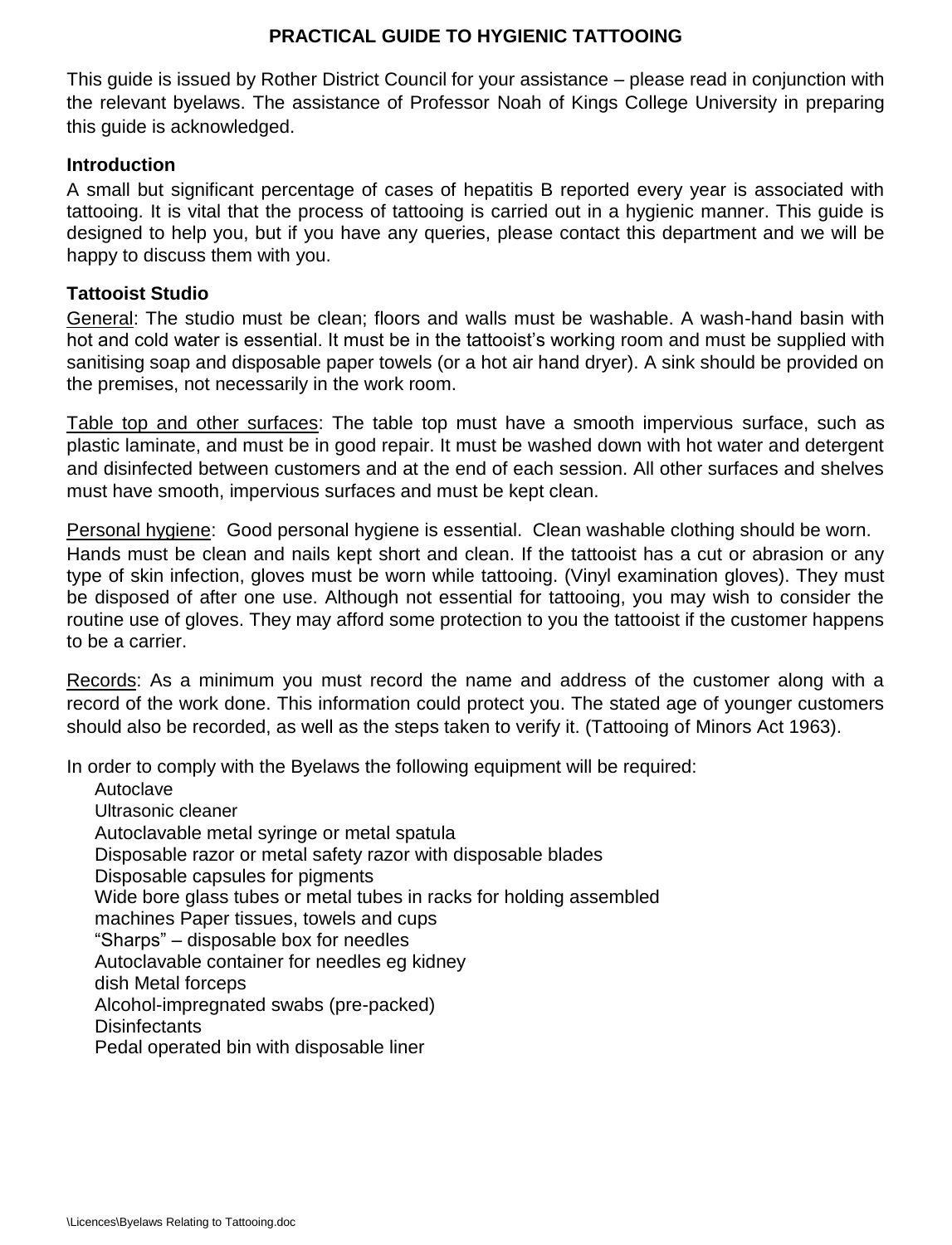# **PRACTICAL GUIDE TO HYGIENIC TATTOOING**

This guide is issued by Rother District Council for your assistance – please read in conjunction with the relevant byelaws. The assistance of Professor Noah of Kings College University in preparing this guide is acknowledged.

#### **Introduction**

A small but significant percentage of cases of hepatitis B reported every year is associated with tattooing. It is vital that the process of tattooing is carried out in a hygienic manner. This guide is designed to help you, but if you have any queries, please contact this department and we will be happy to discuss them with you.

#### **Tattooist Studio**

General: The studio must be clean; floors and walls must be washable. A wash-hand basin with hot and cold water is essential. It must be in the tattooist's working room and must be supplied with sanitising soap and disposable paper towels (or a hot air hand dryer). A sink should be provided on the premises, not necessarily in the work room.

Table top and other surfaces: The table top must have a smooth impervious surface, such as plastic laminate, and must be in good repair. It must be washed down with hot water and detergent and disinfected between customers and at the end of each session. All other surfaces and shelves must have smooth, impervious surfaces and must be kept clean.

Personal hygiene: Good personal hygiene is essential. Clean washable clothing should be worn. Hands must be clean and nails kept short and clean. If the tattooist has a cut or abrasion or any type of skin infection, gloves must be worn while tattooing. (Vinyl examination gloves). They must be disposed of after one use. Although not essential for tattooing, you may wish to consider the routine use of gloves. They may afford some protection to you the tattooist if the customer happens to be a carrier.

Records: As a minimum you must record the name and address of the customer along with a record of the work done. This information could protect you. The stated age of younger customers should also be recorded, as well as the steps taken to verify it. (Tattooing of Minors Act 1963).

In order to comply with the Byelaws the following equipment will be required:

Autoclave Ultrasonic cleaner Autoclavable metal syringe or metal spatula Disposable razor or metal safety razor with disposable blades Disposable capsules for pigments Wide bore glass tubes or metal tubes in racks for holding assembled machines Paper tissues, towels and cups "Sharps" – disposable box for needles Autoclavable container for needles eg kidney dish Metal forceps Alcohol-impregnated swabs (pre-packed) **Disinfectants** Pedal operated bin with disposable liner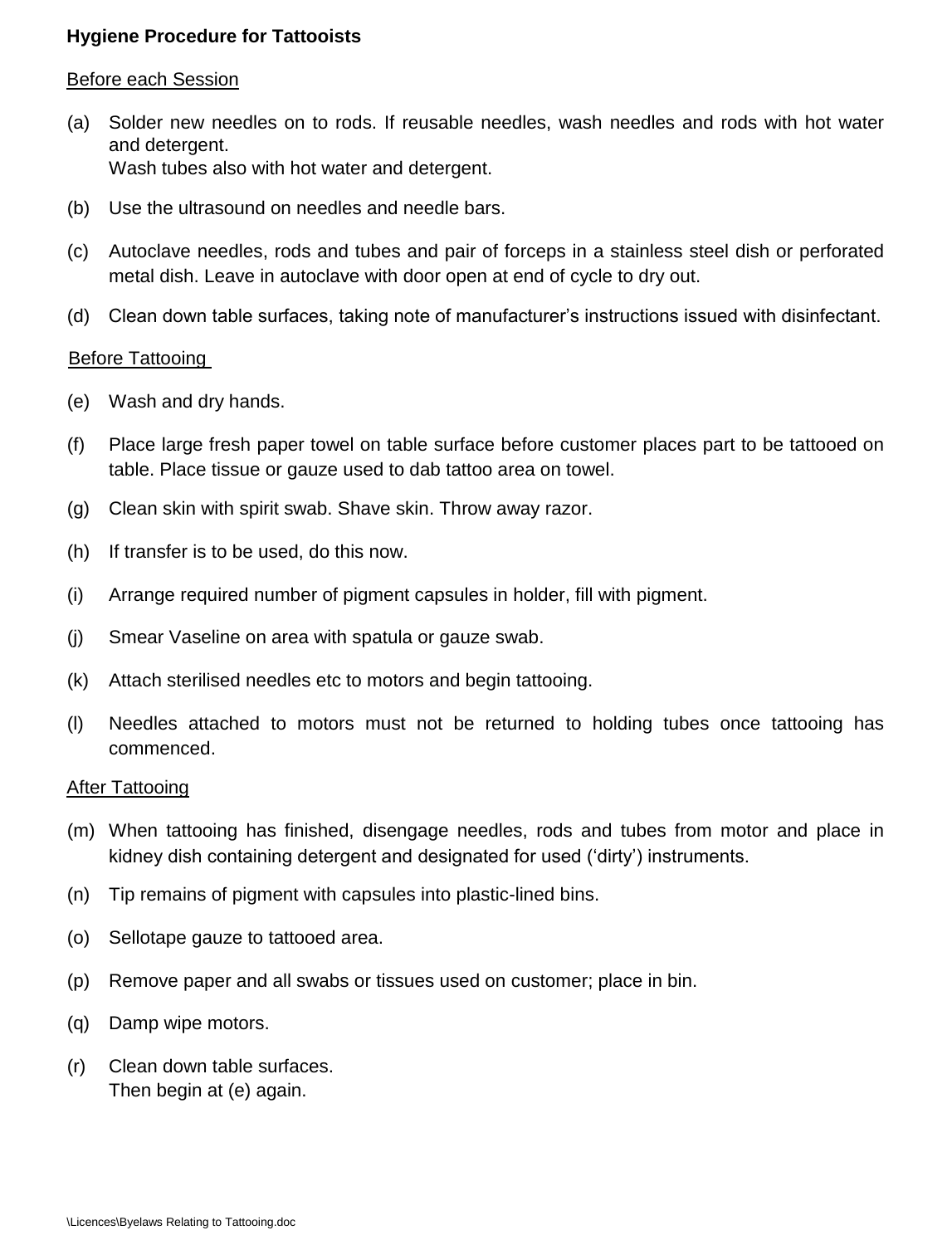### **Hygiene Procedure for Tattooists**

#### Before each Session

- (a) Solder new needles on to rods. If reusable needles, wash needles and rods with hot water and detergent. Wash tubes also with hot water and detergent.
- (b) Use the ultrasound on needles and needle bars.
- (c) Autoclave needles, rods and tubes and pair of forceps in a stainless steel dish or perforated metal dish. Leave in autoclave with door open at end of cycle to dry out.
- (d) Clean down table surfaces, taking note of manufacturer's instructions issued with disinfectant.

#### Before Tattooing

- (e) Wash and dry hands.
- (f) Place large fresh paper towel on table surface before customer places part to be tattooed on table. Place tissue or gauze used to dab tattoo area on towel.
- (g) Clean skin with spirit swab. Shave skin. Throw away razor.
- (h) If transfer is to be used, do this now.
- (i) Arrange required number of pigment capsules in holder, fill with pigment.
- (j) Smear Vaseline on area with spatula or gauze swab.
- (k) Attach sterilised needles etc to motors and begin tattooing.
- (l) Needles attached to motors must not be returned to holding tubes once tattooing has commenced.

#### After Tattooing

- (m) When tattooing has finished, disengage needles, rods and tubes from motor and place in kidney dish containing detergent and designated for used ('dirty') instruments.
- (n) Tip remains of pigment with capsules into plastic-lined bins.
- (o) Sellotape gauze to tattooed area.
- (p) Remove paper and all swabs or tissues used on customer; place in bin.
- (q) Damp wipe motors.
- (r) Clean down table surfaces. Then begin at (e) again.